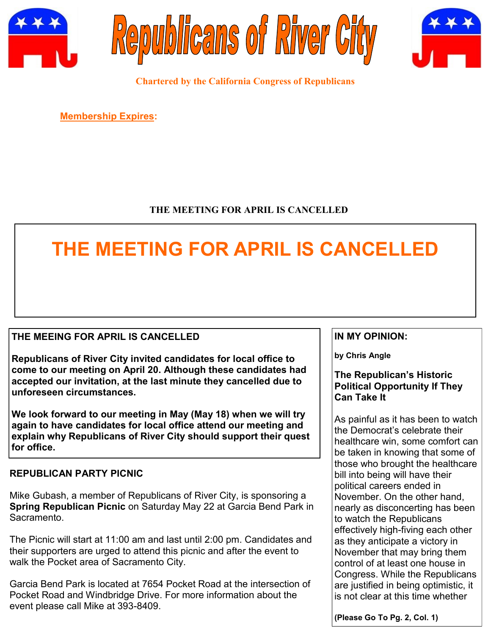





**Chartered by the California Congress of Republicans**

**Membership Expires:** 

## **THE MEETING FOR APRIL IS CANCELLED**

## **THE MEETING FOR APRIL IS CANCELLED**

### **THE MEEING FOR APRIL IS CANCELLED**

**Republicans of River City invited candidates for local office to come to our meeting on April 20. Although these candidates had accepted our invitation, at the last minute they cancelled due to unforeseen circumstances.**

**We look forward to our meeting in May (May 18) when we will try again to have candidates for local office attend our meeting and explain why Republicans of River City should support their quest for office.**

### **REPUBLICAN PARTY PICNIC**

Mike Gubash, a member of Republicans of River City, is sponsoring a **Spring Republican Picnic** on Saturday May 22 at Garcia Bend Park in Sacramento.

The Picnic will start at 11:00 am and last until 2:00 pm. Candidates and their supporters are urged to attend this picnic and after the event to walk the Pocket area of Sacramento City.

Garcia Bend Park is located at 7654 Pocket Road at the intersection of Pocket Road and Windbridge Drive. For more information about the event please call Mike at 393-8409.

#### **IN MY OPINION:**

**by Chris Angle**

#### **The Republican's Historic Political Opportunity If They Can Take It**

As painful as it has been to watch the Democrat's celebrate their healthcare win, some comfort can be taken in knowing that some of those who brought the healthcare bill into being will have their political careers ended in November. On the other hand, nearly as disconcerting has been to watch the Republicans effectively high-fiving each other as they anticipate a victory in November that may bring them control of at least one house in Congress. While the Republicans are justified in being optimistic, it is not clear at this time whether

**(Please Go To Pg. 2, Col. 1)**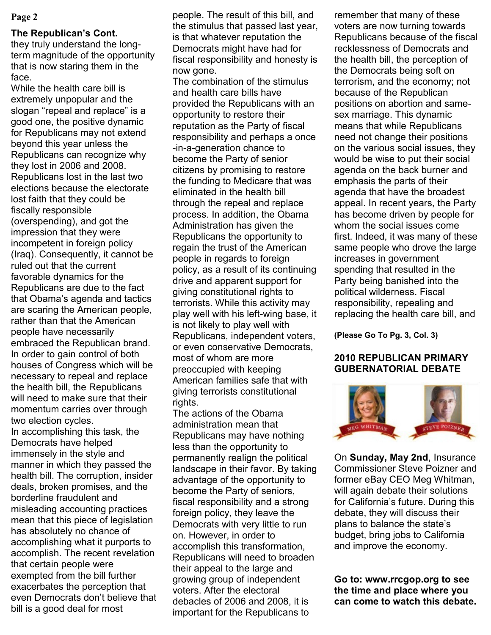#### **The Republican's Cont.**

they truly understand the longterm magnitude of the opportunity that is now staring them in the face.

While the health care bill is extremely unpopular and the slogan "repeal and replace" is a good one, the positive dynamic for Republicans may not extend beyond this year unless the Republicans can recognize why they lost in 2006 and 2008. Republicans lost in the last two elections because the electorate lost faith that they could be fiscally responsible (overspending), and got the impression that they were incompetent in foreign policy (Iraq). Consequently, it cannot be ruled out that the current favorable dynamics for the Republicans are due to the fact that Obama's agenda and tactics are scaring the American people, rather than that the American people have necessarily embraced the Republican brand. In order to gain control of both houses of Congress which will be necessary to repeal and replace the health bill, the Republicans will need to make sure that their momentum carries over through two election cycles.

In accomplishing this task, the Democrats have helped immensely in the style and manner in which they passed the health bill. The corruption, insider deals, broken promises, and the borderline fraudulent and misleading accounting practices mean that this piece of legislation has absolutely no chance of accomplishing what it purports to accomplish. The recent revelation that certain people were exempted from the bill further exacerbates the perception that even Democrats don't believe that bill is a good deal for most

**Page 2 people.** The result of this bill, and the stimulus that passed last year, is that whatever reputation the Democrats might have had for fiscal responsibility and honesty is now gone.

The combination of the stimulus and health care bills have provided the Republicans with an opportunity to restore their reputation as the Party of fiscal responsibility and perhaps a once -in-a-generation chance to become the Party of senior citizens by promising to restore the funding to Medicare that was eliminated in the health bill through the repeal and replace process. In addition, the Obama Administration has given the Republicans the opportunity to regain the trust of the American people in regards to foreign policy, as a result of its continuing drive and apparent support for giving constitutional rights to terrorists. While this activity may play well with his left-wing base, it is not likely to play well with Republicans, independent voters, or even conservative Democrats, most of whom are more preoccupied with keeping American families safe that with giving terrorists constitutional rights.

The actions of the Obama administration mean that Republicans may have nothing less than the opportunity to permanently realign the political landscape in their favor. By taking advantage of the opportunity to become the Party of seniors, fiscal responsibility and a strong foreign policy, they leave the Democrats with very little to run on. However, in order to accomplish this transformation, Republicans will need to broaden their appeal to the large and growing group of independent voters. After the electoral debacles of 2006 and 2008, it is important for the Republicans to

remember that many of these voters are now turning towards Republicans because of the fiscal recklessness of Democrats and the health bill, the perception of the Democrats being soft on terrorism, and the economy; not because of the Republican positions on abortion and samesex marriage. This dynamic means that while Republicans need not change their positions on the various social issues, they would be wise to put their social agenda on the back burner and emphasis the parts of their agenda that have the broadest appeal. In recent years, the Party has become driven by people for whom the social issues come first. Indeed, it was many of these same people who drove the large increases in government spending that resulted in the Party being banished into the political wilderness. Fiscal responsibility, repealing and replacing the health care bill, and

**(Please Go To Pg. 3, Col. 3)**

#### **2010 REPUBLICAN PRIMARY GUBERNATORIAL DEBATE**



On **Sunday, May 2nd**, Insurance Commissioner Steve Poizner and former eBay CEO Meg Whitman, will again debate their solutions for California's future. During this debate, they will discuss their plans to balance the state's budget, bring jobs to California and improve the economy.

**Go to: www.rrcgop.org to see the time and place where you can come to watch this debate.**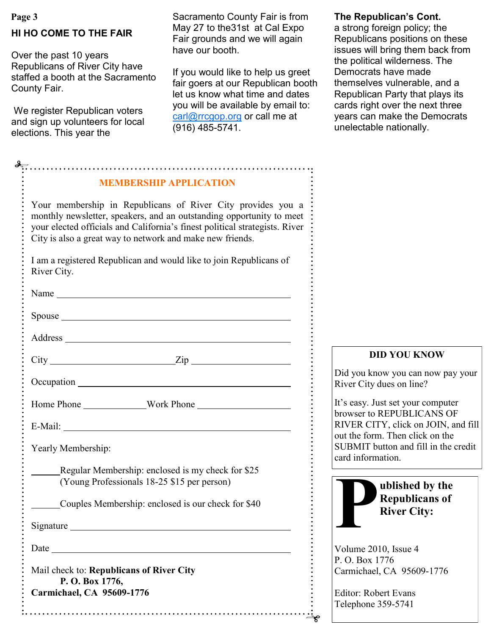# **HI HO COME TO THE FAIR**

Over the past 10 years Republicans of River City have staffed a booth at the Sacramento County Fair.

We register Republican voters and sign up volunteers for local elections. This year the

Page 3 **The Republican's Cont.** Sacramento County Fair is from The Republican's Cont. May 27 to the31st at Cal Expo Fair grounds and we will again have our booth.

> If you would like to help us greet fair goers at our Republican booth let us know what time and dates you will be available by email to: [carl@rrcgop.org](mailto:carl@rrcgop.org) or call me at (916) 485-5741.

a strong foreign policy; the Republicans positions on these issues will bring them back from the political wilderness. The Democrats have made themselves vulnerable, and a Republican Party that plays its cards right over the next three years can make the Democrats unelectable nationally.

| <b>MEMBERSHIP APPLICATION</b>                                                                                                                                                                                                                                                   |  |
|---------------------------------------------------------------------------------------------------------------------------------------------------------------------------------------------------------------------------------------------------------------------------------|--|
| Your membership in Republicans of River City provides you a<br>monthly newsletter, speakers, and an outstanding opportunity to meet<br>your elected officials and California's finest political strategists. River<br>City is also a great way to network and make new friends. |  |
| I am a registered Republican and would like to join Republicans of<br>River City.                                                                                                                                                                                               |  |
|                                                                                                                                                                                                                                                                                 |  |
| Spouse https://www.archive.com/second-                                                                                                                                                                                                                                          |  |
|                                                                                                                                                                                                                                                                                 |  |
| $City$ $Zip$                                                                                                                                                                                                                                                                    |  |
| Occupation experience and the contract of the contract of the contract of the contract of the contract of the contract of the contract of the contract of the contract of the contract of the contract of the contract of the                                                   |  |
|                                                                                                                                                                                                                                                                                 |  |
|                                                                                                                                                                                                                                                                                 |  |
| Yearly Membership:                                                                                                                                                                                                                                                              |  |
| Regular Membership: enclosed is my check for \$25<br>(Young Professionals 18-25 \$15 per person)                                                                                                                                                                                |  |
| Couples Membership: enclosed is our check for \$40                                                                                                                                                                                                                              |  |
| Signature                                                                                                                                                                                                                                                                       |  |
| Date                                                                                                                                                                                                                                                                            |  |
| Mail check to: Republicans of River City                                                                                                                                                                                                                                        |  |
| P.O. Box 1776,<br>Carmichael, CA 95609-1776                                                                                                                                                                                                                                     |  |

#### **DID YOU KNOW**

Did you know you can now pay your River City dues on line?

t's easy. Just set your computer browser to REPUBLICANS OF RIVER CITY, click on JOIN, and fill out the form. Then click on the SUBMIT button and fill in the credit ard information.



Volume 2010, Issue 4 P. O. Box 1776 Carmichael, CA 95609-1776

Editor: Robert Evans Telephone 359-5741